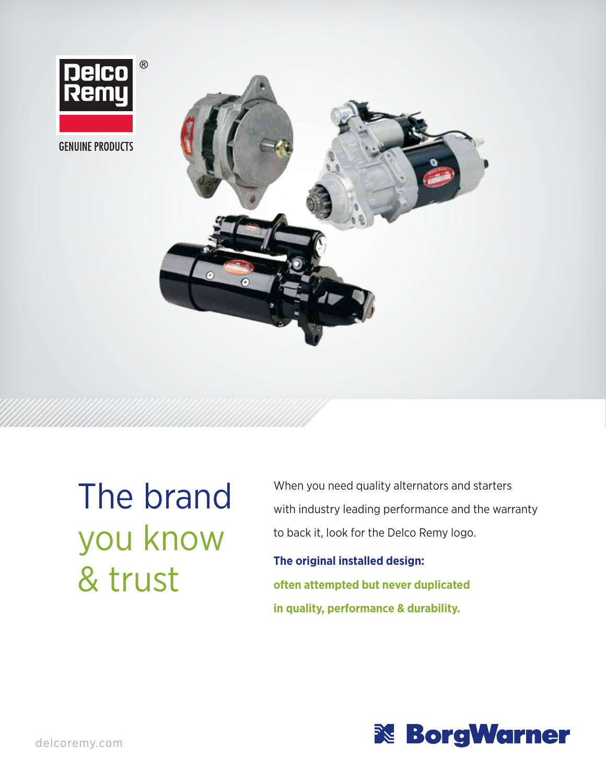

**GENUINE PRODUCTS** 



The brand you know & trust

When you need quality alternators and starters with industry leading performance and the warranty to back it, look for the Delco Remy logo.

**The original installed design: often attempted but never duplicated in quality, performance & durability.**